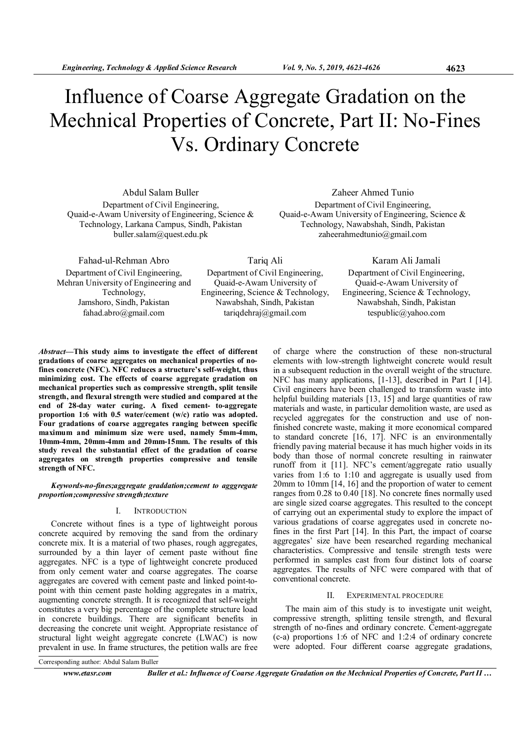# Influence of Coarse Aggregate Gradation on the Mechnical Properties of Concrete, Part II: No-Fines Vs. Ordinary Concrete

Abdul Salam Buller Department of Civil Engineering, Quaid-e-Awam University of Engineering, Science & Technology, Larkana Campus, Sindh, Pakistan buller.salam@quest.edu.pk

Zaheer Ahmed Tunio Department of Civil Engineering, Quaid-e-Awam University of Engineering, Science & Technology, Nawabshah, Sindh, Pakistan zaheerahmedtunio@gmail.com

Fahad-ul-Rehman Abro Department of Civil Engineering, Mehran University of Engineering and Technology, Jamshoro, Sindh, Pakistan fahad.abro@gmail.com

Tariq Ali Department of Civil Engineering, Quaid-e-Awam University of Engineering, Science & Technology, Nawabshah, Sindh, Pakistan tariqdehraj@gmail.com

Karam Ali Jamali Department of Civil Engineering, Quaid-e-Awam University of Engineering, Science & Technology, Nawabshah, Sindh, Pakistan tespublic@yahoo.com

Abstract—This study aims to investigate the effect of different gradations of coarse aggregates on mechanical properties of nofines concrete (NFC). NFC reduces a structure's self-weight, thus minimizing cost. The effects of coarse aggregate gradation on mechanical properties such as compressive strength, split tensile strength, and flexural strength were studied and compared at the end of 28-day water curing. A fixed cement- to-aggregate proportion 1:6 with 0.5 water/cement (w/c) ratio was adopted. Four gradations of coarse aggregates ranging between specific maximum and minimum size were used, namely 5mm-4mm, 10mm-4mm, 20mm-4mm and 20mm-15mm. The results of this study reveal the substantial effect of the gradation of coarse aggregates on strength properties compressive and tensile strength of NFC.

## Keywords-no-fines;aggregate graddation;cement to agggregate proportion;compressive strength;texture

## I. INTRODUCTION

Concrete without fines is a type of lightweight porous concrete acquired by removing the sand from the ordinary concrete mix. It is a material of two phases, rough aggregates, surrounded by a thin layer of cement paste without fine aggregates. NFC is a type of lightweight concrete produced from only cement water and coarse aggregates. The coarse aggregates are covered with cement paste and linked point-topoint with thin cement paste holding aggregates in a matrix, augmenting concrete strength. It is recognized that self-weight constitutes a very big percentage of the complete structure load in concrete buildings. There are significant benefits in decreasing the concrete unit weight. Appropriate resistance of structural light weight aggregate concrete (LWAC) is now prevalent in use. In frame structures, the petition walls are free

of charge where the construction of these non-structural elements with low-strength lightweight concrete would result in a subsequent reduction in the overall weight of the structure. NFC has many applications, [1-13], described in Part I [14]. Civil engineers have been challenged to transform waste into helpful building materials [13, 15] and large quantities of raw materials and waste, in particular demolition waste, are used as recycled aggregates for the construction and use of nonfinished concrete waste, making it more economical compared to standard concrete [16, 17]. NFC is an environmentally friendly paving material because it has much higher voids in its body than those of normal concrete resulting in rainwater runoff from it [11]. NFC's cement/aggregate ratio usually varies from 1:6 to 1:10 and aggregate is usually used from 20mm to 10mm [14, 16] and the proportion of water to cement ranges from 0.28 to 0.40 [18]. No concrete fines normally used are single sized coarse aggregates. This resulted to the concept of carrying out an experimental study to explore the impact of various gradations of coarse aggregates used in concrete nofines in the first Part [14]. In this Part, the impact of coarse aggregates' size have been researched regarding mechanical characteristics. Compressive and tensile strength tests were performed in samples cast from four distinct lots of coarse aggregates. The results of NFC were compared with that of conventional concrete.

# II. EXPERIMENTAL PROCEDURE

The main aim of this study is to investigate unit weight, compressive strength, splitting tensile strength, and flexural strength of no-fines and ordinary concrete. Cement-aggregate (c-a) proportions 1:6 of NFC and 1:2:4 of ordinary concrete were adopted. Four different coarse aggregate gradations,

Corresponding author: Abdul Salam Buller

www.etasr.com Buller et al.: Influence of Coarse Aggregate Gradation on the Mechnical Properties of Concrete, Part II ...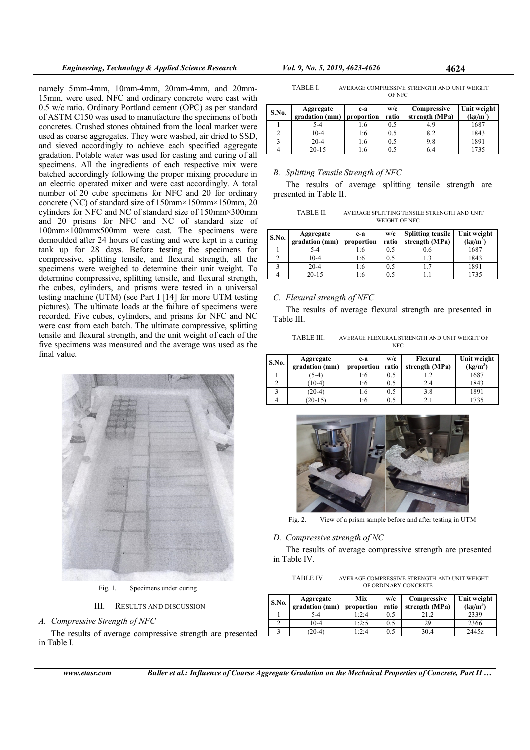namely 5mm-4mm, 10mm-4mm, 20mm-4mm, and 20mm-15mm, were used. NFC and ordinary concrete were cast with 0.5 w/c ratio. Ordinary Portland cement (OPC) as per standard of ASTM C150 was used to manufacture the specimens of both concretes. Crushed stones obtained from the local market were used as coarse aggregates. They were washed, air dried to SSD, and sieved accordingly to achieve each specified aggregate gradation. Potable water was used for casting and curing of all specimens. All the ingredients of each respective mix were batched accordingly following the proper mixing procedure in an electric operated mixer and were cast accordingly. A total number of 20 cube specimens for NFC and 20 for ordinary concrete (NC) of standard size of 150mm×150mm×150mm, 20 cylinders for NFC and NC of standard size of 150mm×300mm and 20 prisms for NFC and NC of standard size of 100mm×100mmx500mm were cast. The specimens were demoulded after 24 hours of casting and were kept in a curing tank up for 28 days. Before testing the specimens for compressive, splitting tensile, and flexural strength, all the specimens were weighed to determine their unit weight. To determine compressive, splitting tensile, and flexural strength, the cubes, cylinders, and prisms were tested in a universal testing machine (UTM) (see Part I [14] for more UTM testing pictures). The ultimate loads at the failure of specimens were recorded. Five cubes, cylinders, and prisms for NFC and NC were cast from each batch. The ultimate compressive, splitting tensile and flexural strength, and the unit weight of each of the five specimens was measured and the average was used as the final value.



Fig. 1. Specimens under curing

III. RESULTS AND DISCUSSION

A. Compressive Strength of NFC

The results of average compressive strength are presented in Table I.

www.etasr.com Buller et al.: Influence of Coarse Aggregate Gradation on the Mechnical Properties of Concrete, Part II …

| TABLE I. | AVERAGE COMPRESSIVE STRENGTH AND UNIT WEIGHT |
|----------|----------------------------------------------|
|          | <b>OF NFC</b>                                |

| S.No. | Aggregate<br>gradation (mm) | c-a<br>proportion | w/c<br>ratio | Compressive<br>strength (MPa) | Unit weight<br>$(\text{kg/m}^3)$ |
|-------|-----------------------------|-------------------|--------------|-------------------------------|----------------------------------|
|       | 5-4                         | 1:6               | 0.5          | 4.9                           | 1687                             |
|       | 10-4                        | 1:6               | 0.5          | 8.2                           | 1843                             |
|       | $20 - 4$                    | 1:6               | 0.5          | 9.8                           | 1891                             |
|       | $20 - 15$                   | l:6               | 0.5          |                               | 1735                             |

## B. Splitting Tensile Strength of NFC

The results of average splitting tensile strength are presented in Table II.

| <b>TABLE II.</b> | AVERAGE SPLITTING TENSILE STRENGTH AND UNIT |  |
|------------------|---------------------------------------------|--|
|                  | WEIGHT OF NFC                               |  |

| S.No. | Aggregate<br>gradation (mm) | c-a<br>proportion | w/c<br>ratio | <b>Splitting tensile</b><br>strength (MPa) | Unit weight<br>$(kg/m^3)$ |
|-------|-----------------------------|-------------------|--------------|--------------------------------------------|---------------------------|
|       | 5-4                         | l:6               | 0.5          | 0.6                                        | 1687                      |
|       | 10-4                        | 1:6               | 0.5          |                                            | 1843                      |
|       | $20 - 4$                    | 1:6               | 0.5          |                                            | 1891                      |
|       | $20 - 15$                   | !∶6               | 0.5          |                                            | 1735                      |

## C. Flexural strength of NFC

The results of average flexural strength are presented in Table III.

| TABLE III. | AVERAGE FLEXURAL STRENGTH AND UNIT WEIGHT OF |
|------------|----------------------------------------------|
|            | <b>NFC</b>                                   |

| S.No. | Aggregate<br>gradation (mm) | c-a<br>proportion | w/c<br>ratio | Flexural<br>strength (MPa) | Unit weight<br>$(kg/m^3)$ |
|-------|-----------------------------|-------------------|--------------|----------------------------|---------------------------|
|       | $(5-4)$                     | 1:6               | 0.5          |                            | 1687                      |
|       | $(10-4)$                    | 1:6               | 0.5          | 2.4                        | 1843                      |
|       | $(20-4)$                    | 1:6               | 0.5          | 3.8                        | 1891                      |
|       | $(20-15)$                   | 1:6               | 0.5          | 2 i                        | 1735                      |



Fig. 2. View of a prism sample before and after testing in UTM

## D. Compressive strength of NC

The results of average compressive strength are presented in Table IV.

TABLE IV. AVERAGE COMPRESSIVE STRENGTH AND UNIT WEIGHT OF ORDINARY CONCRETE

| <b>S.No.</b> | Aggregate<br>gradation (mm) proportion | Mix   | w/c<br>ratio | Compressive<br>strength (MPa) | Unit weight<br>$(kg/m^3)$ |
|--------------|----------------------------------------|-------|--------------|-------------------------------|---------------------------|
|              | 5-4                                    | 1:2:4 | 0.5          |                               | 2339                      |
|              | $0 - 4$                                | 1:2:5 | 0.5          | 29                            | 2366                      |
|              | $(20-4)$                               | 1:2:4 | 0.5          | 30.4                          | 2445z                     |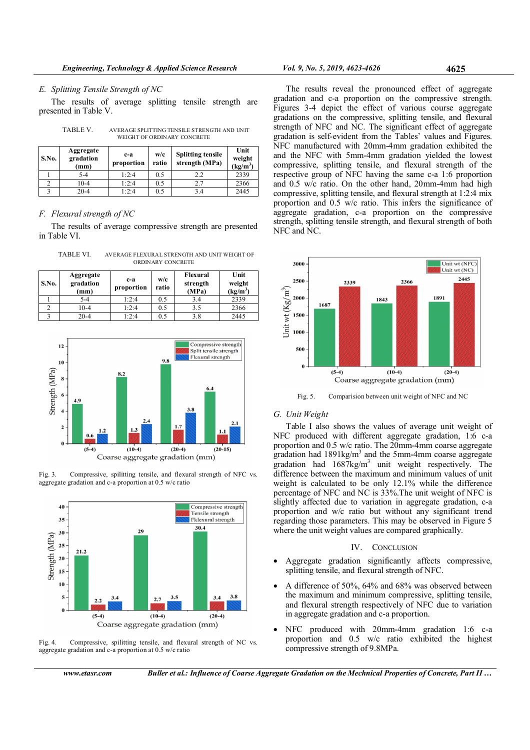#### E. Splitting Tensile Strength of NC

The results of average splitting tensile strength are presented in Table V.

| S.No. | Aggregate<br>gradation<br>(mm) | $c-a$<br>proportion | w/c<br>ratio | <b>Splitting tensile</b><br>strength (MPa) | Unit<br>weight<br>$(kg/m^3)$ |
|-------|--------------------------------|---------------------|--------------|--------------------------------------------|------------------------------|
|       | $5 - 4$                        | 1:2:4               | 0.5          | 2.2                                        | 2339                         |
|       | $10 - 4$                       | 1:2:4               | 0.5          | 2.7                                        | 2366                         |
|       | $20 - 4$                       | 1:2:4               | 0.5          | 3.4                                        | 2445                         |

TABLE V. AVERAGE SPLITTING TENSILE STRENGTH AND UNIT WEIGHT OF ORDINARY CONCRETE

# F. Flexural strength of NC

The results of average compressive strength are presented in Table VI.

TABLE VI. AVERAGE FLEXURAL STRENGTH AND UNIT WEIGHT OF ORDINARY CONCRETE

| S.No. | Aggregate<br>gradation<br>(mm) | c-a<br>proportion | w/c<br>ratio | Flexural<br>strength<br>(MPa) | Unit<br>weight<br>$(kg/m^3)$ |
|-------|--------------------------------|-------------------|--------------|-------------------------------|------------------------------|
|       | $5 - 4$                        | 1:2:4             | 0.5          | 3.4                           | 2339                         |
|       | $10-4$                         | 1:2:4             | 0.5          | 3.5                           | 2366                         |
|       | $20 - 4$                       | 1:2:4             | 0.5          | 3.8                           | 2445                         |







Fig. 4. Compressive, spilitting tensile, and flexural strength of NC vs. aggregate gradation and c-a proportion at 0.5 w/c ratio

The results reveal the pronounced effect of aggregate gradation and c-a proportion on the compressive strength. Figures 3-4 depict the effect of various course aggregate gradations on the compressive, splitting tensile, and flexural strength of NFC and NC. The significant effect of aggregate gradation is self-evident from the Tables' values and Figures. NFC manufactured with 20mm-4mm gradation exhibited the and the NFC with 5mm-4mm gradation yielded the lowest compressive, splitting tensile, and flexural strength of the respective group of NFC having the same c-a 1:6 proportion and 0.5 w/c ratio. On the other hand, 20mm-4mm had high compressive, splitting tensile, and flexural strength at 1:2:4 mix proportion and 0.5 w/c ratio. This infers the significance of aggregate gradation, c-a proportion on the compressive strength, splitting tensile strength, and flexural strength of both NFC and NC.



Fig. 5. Comparision between unit weight of NFC and NC

## G. Unit Weight

Table I also shows the values of average unit weight of NFC produced with different aggregate gradation, 1:6 c-a proportion and 0.5 w/c ratio. The 20mm-4mm coarse aggregate gradation had  $1891\text{kg/m}^3$  and the 5mm-4mm coarse aggregate gradation had  $1687 \text{kg/m}^3$  unit weight respectively. The difference between the maximum and minimum values of unit weight is calculated to be only 12.1% while the difference percentage of NFC and NC is 33%.The unit weight of NFC is slightly affected due to variation in aggregate gradation, c-a proportion and w/c ratio but without any significant trend regarding those parameters. This may be observed in Figure 5 where the unit weight values are compared graphically.

### IV. CONCLUSION

- Aggregate gradation significantly affects compressive, splitting tensile, and flexural strength of NFC.
- A difference of 50%, 64% and 68% was observed between the maximum and minimum compressive, splitting tensile, and flexural strength respectively of NFC due to variation in aggregate gradation and c-a proportion.
- NFC produced with 20mm-4mm gradation 1:6 c-a proportion and 0.5 w/c ratio exhibited the highest compressive strength of 9.8MPa.